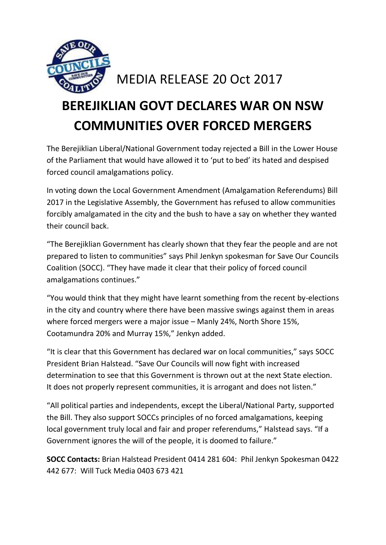

## MEDIA RELEASE 20 Oct 2017

## **BEREJIKLIAN GOVT DECLARES WAR ON NSW COMMUNITIES OVER FORCED MERGERS**

The Berejiklian Liberal/National Government today rejected a Bill in the Lower House of the Parliament that would have allowed it to 'put to bed' its hated and despised forced council amalgamations policy.

In voting down the Local Government Amendment (Amalgamation Referendums) Bill 2017 in the Legislative Assembly, the Government has refused to allow communities forcibly amalgamated in the city and the bush to have a say on whether they wanted their council back.

"The Berejiklian Government has clearly shown that they fear the people and are not prepared to listen to communities" says Phil Jenkyn spokesman for Save Our Councils Coalition (SOCC). "They have made it clear that their policy of forced council amalgamations continues."

"You would think that they might have learnt something from the recent by-elections in the city and country where there have been massive swings against them in areas where forced mergers were a major issue – Manly 24%, North Shore 15%, Cootamundra 20% and Murray 15%," Jenkyn added.

"It is clear that this Government has declared war on local communities," says SOCC President Brian Halstead. "Save Our Councils will now fight with increased determination to see that this Government is thrown out at the next State election. It does not properly represent communities, it is arrogant and does not listen."

"All political parties and independents, except the Liberal/National Party, supported the Bill. They also support SOCCs principles of no forced amalgamations, keeping local government truly local and fair and proper referendums," Halstead says. "If a Government ignores the will of the people, it is doomed to failure."

**SOCC Contacts:** Brian Halstead President 0414 281 604: Phil Jenkyn Spokesman 0422 442 677: Will Tuck Media 0403 673 421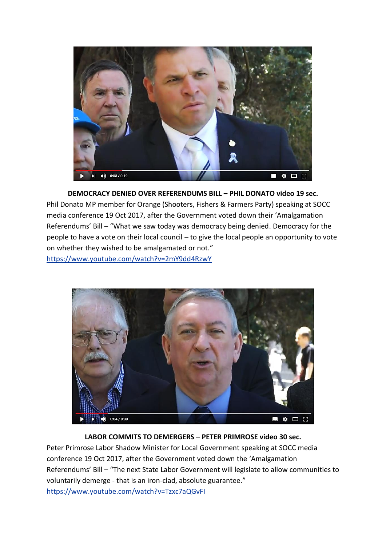

**DEMOCRACY DENIED OVER REFERENDUMS BILL – PHIL DONATO video 19 sec.** Phil Donato MP member for Orange (Shooters, Fishers & Farmers Party) speaking at SOCC media conference 19 Oct 2017, after the Government voted down their 'Amalgamation Referendums' Bill – "What we saw today was democracy being denied. Democracy for the people to have a vote on their local council – to give the local people an opportunity to vote on whether they wished to be amalgamated or not." <https://www.youtube.com/watch?v=2mY9dd4RzwY>



## **LABOR COMMITS TO DEMERGERS – PETER PRIMROSE video 30 sec.**

Peter Primrose Labor Shadow Minister for Local Government speaking at SOCC media conference 19 Oct 2017, after the Government voted down the 'Amalgamation Referendums' Bill – "The next State Labor Government will legislate to allow communities to voluntarily demerge - that is an iron-clad, absolute guarantee." <https://www.youtube.com/watch?v=Tzxc7aQGvFI>